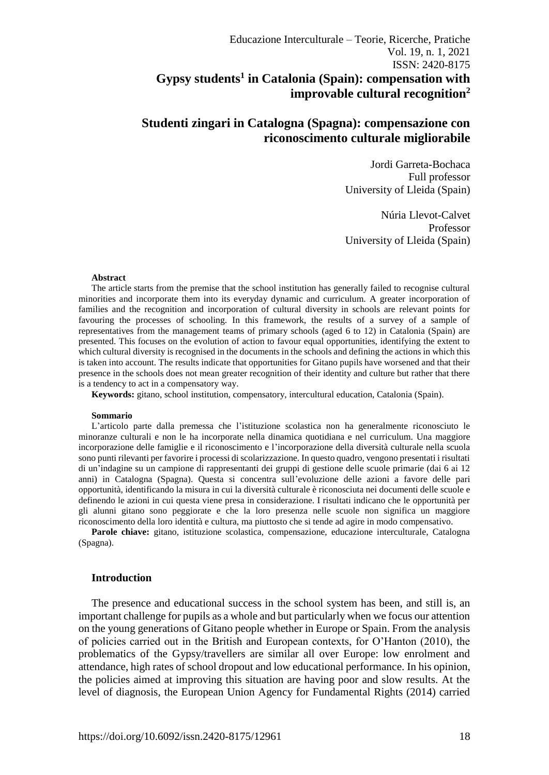# **Studenti zingari in Catalogna (Spagna): compensazione con riconoscimento culturale migliorabile**

Jordi Garreta-Bochaca Full professor University of Lleida (Spain)

Núria Llevot-Calvet Professor University of Lleida (Spain)

#### **Abstract**

The article starts from the premise that the school institution has generally failed to recognise cultural minorities and incorporate them into its everyday dynamic and curriculum. A greater incorporation of families and the recognition and incorporation of cultural diversity in schools are relevant points for favouring the processes of schooling. In this framework, the results of a survey of a sample of representatives from the management teams of primary schools (aged 6 to 12) in Catalonia (Spain) are presented. This focuses on the evolution of action to favour equal opportunities, identifying the extent to which cultural diversity is recognised in the documents in the schools and defining the actions in which this is taken into account. The results indicate that opportunities for Gitano pupils have worsened and that their presence in the schools does not mean greater recognition of their identity and culture but rather that there is a tendency to act in a compensatory way.

**Keywords:** gitano, school institution, compensatory, intercultural education, Catalonia (Spain).

#### **Sommario**

L'articolo parte dalla premessa che l'istituzione scolastica non ha generalmente riconosciuto le minoranze culturali e non le ha incorporate nella dinamica quotidiana e nel curriculum. Una maggiore incorporazione delle famiglie e il riconoscimento e l'incorporazione della diversità culturale nella scuola sono punti rilevanti per favorire i processi di scolarizzazione. In questo quadro, vengono presentati i risultati di un'indagine su un campione di rappresentanti dei gruppi di gestione delle scuole primarie (dai 6 ai 12 anni) in Catalogna (Spagna). Questa si concentra sull'evoluzione delle azioni a favore delle pari opportunità, identificando la misura in cui la diversità culturale è riconosciuta nei documenti delle scuole e definendo le azioni in cui questa viene presa in considerazione. I risultati indicano che le opportunità per gli alunni gitano sono peggiorate e che la loro presenza nelle scuole non significa un maggiore riconoscimento della loro identità e cultura, ma piuttosto che si tende ad agire in modo compensativo.

**Parole chiave:** gitano, istituzione scolastica, compensazione, educazione interculturale, Catalogna (Spagna).

#### **Introduction**

The presence and educational success in the school system has been, and still is, an important challenge for pupils as a whole and but particularly when we focus our attention on the young generations of Gitano people whether in Europe or Spain. From the analysis of policies carried out in the British and European contexts, for O'Hanton (2010), the problematics of the Gypsy/travellers are similar all over Europe: low enrolment and attendance, high rates of school dropout and low educational performance. In his opinion, the policies aimed at improving this situation are having poor and slow results. At the level of diagnosis, the European Union Agency for Fundamental Rights (2014) carried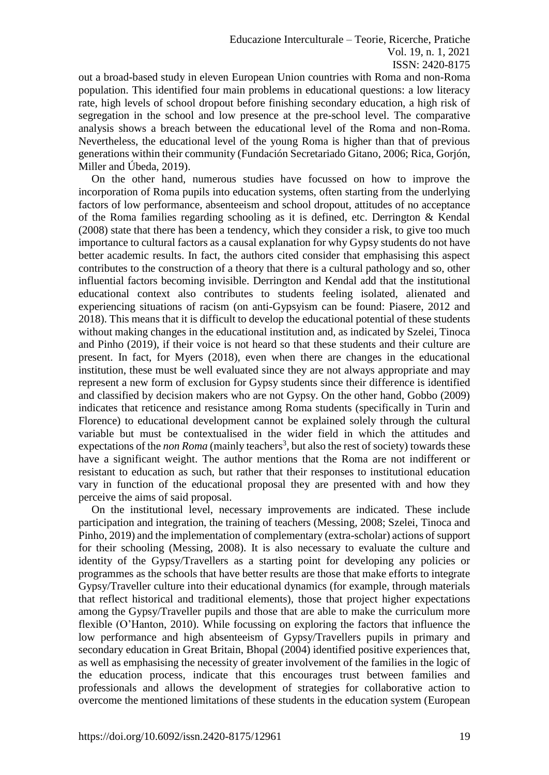Educazione Interculturale – Teorie, Ricerche, Pratiche Vol. 19, n. 1, 2021 ISSN: 2420-8175

out a broad-based study in eleven European Union countries with Roma and non-Roma population. This identified four main problems in educational questions: a low literacy rate, high levels of school dropout before finishing secondary education, a high risk of segregation in the school and low presence at the pre-school level. The comparative analysis shows a breach between the educational level of the Roma and non-Roma. Nevertheless, the educational level of the young Roma is higher than that of previous generations within their community (Fundación Secretariado Gitano, 2006; Rica, Gorjón, Miller and Úbeda, 2019).

On the other hand, numerous studies have focussed on how to improve the incorporation of Roma pupils into education systems, often starting from the underlying factors of low performance, absenteeism and school dropout, attitudes of no acceptance of the Roma families regarding schooling as it is defined, etc. Derrington & Kendal (2008) state that there has been a tendency, which they consider a risk, to give too much importance to cultural factors as a causal explanation for why Gypsy students do not have better academic results. In fact, the authors cited consider that emphasising this aspect contributes to the construction of a theory that there is a cultural pathology and so, other influential factors becoming invisible. Derrington and Kendal add that the institutional educational context also contributes to students feeling isolated, alienated and experiencing situations of racism (on anti-Gypsyism can be found: Piasere, 2012 and 2018). This means that it is difficult to develop the educational potential of these students without making changes in the educational institution and, as indicated by Szelei, Tinoca and Pinho (2019), if their voice is not heard so that these students and their culture are present. In fact, for Myers (2018), even when there are changes in the educational institution, these must be well evaluated since they are not always appropriate and may represent a new form of exclusion for Gypsy students since their difference is identified and classified by decision makers who are not Gypsy. On the other hand, Gobbo (2009) indicates that reticence and resistance among Roma students (specifically in Turin and Florence) to educational development cannot be explained solely through the cultural variable but must be contextualised in the wider field in which the attitudes and expectations of the *non Roma* (mainly teachers<sup>3</sup>, but also the rest of society) towards these have a significant weight. The author mentions that the Roma are not indifferent or resistant to education as such, but rather that their responses to institutional education vary in function of the educational proposal they are presented with and how they perceive the aims of said proposal.

On the institutional level, necessary improvements are indicated. These include participation and integration, the training of teachers (Messing, 2008; Szelei, Tinoca and Pinho, 2019) and the implementation of complementary (extra-scholar) actions of support for their schooling (Messing, 2008). It is also necessary to evaluate the culture and identity of the Gypsy/Travellers as a starting point for developing any policies or programmes as the schools that have better results are those that make efforts to integrate Gypsy/Traveller culture into their educational dynamics (for example, through materials that reflect historical and traditional elements), those that project higher expectations among the Gypsy/Traveller pupils and those that are able to make the curriculum more flexible (O'Hanton, 2010). While focussing on exploring the factors that influence the low performance and high absenteeism of Gypsy/Travellers pupils in primary and secondary education in Great Britain, Bhopal (2004) identified positive experiences that, as well as emphasising the necessity of greater involvement of the families in the logic of the education process, indicate that this encourages trust between families and professionals and allows the development of strategies for collaborative action to overcome the mentioned limitations of these students in the education system (European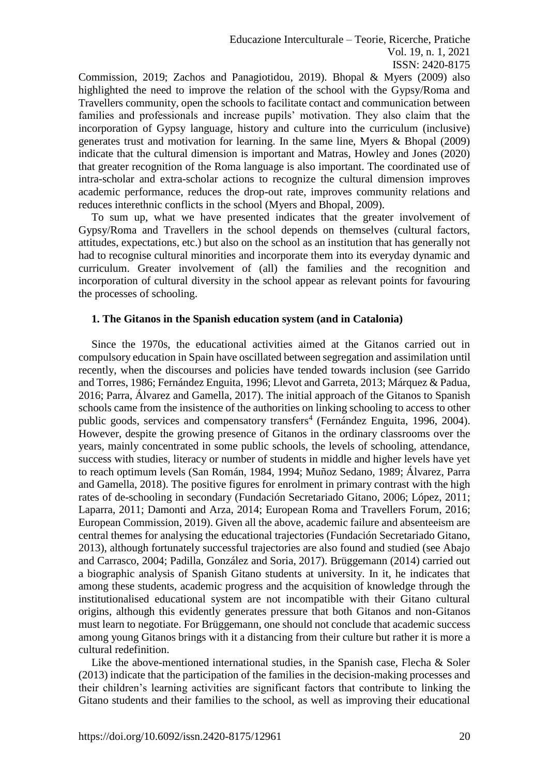Educazione Interculturale – Teorie, Ricerche, Pratiche Vol. 19, n. 1, 2021 ISSN: 2420-8175

Commission, 2019; Zachos and Panagiotidou, 2019). Bhopal & Myers (2009) also highlighted the need to improve the relation of the school with the Gypsy/Roma and Travellers community, open the schools to facilitate contact and communication between families and professionals and increase pupils' motivation. They also claim that the incorporation of Gypsy language, history and culture into the curriculum (inclusive) generates trust and motivation for learning. In the same line, Myers & Bhopal (2009) indicate that the cultural dimension is important and Matras, Howley and Jones (2020) that greater recognition of the Roma language is also important. The coordinated use of intra-scholar and extra-scholar actions to recognize the cultural dimension improves academic performance, reduces the drop-out rate, improves community relations and reduces interethnic conflicts in the school (Myers and Bhopal, 2009).

To sum up, what we have presented indicates that the greater involvement of Gypsy/Roma and Travellers in the school depends on themselves (cultural factors, attitudes, expectations, etc.) but also on the school as an institution that has generally not had to recognise cultural minorities and incorporate them into its everyday dynamic and curriculum. Greater involvement of (all) the families and the recognition and incorporation of cultural diversity in the school appear as relevant points for favouring the processes of schooling.

#### **1. The Gitanos in the Spanish education system (and in Catalonia)**

Since the 1970s, the educational activities aimed at the Gitanos carried out in compulsory education in Spain have oscillated between segregation and assimilation until recently, when the discourses and policies have tended towards inclusion (see Garrido and Torres, 1986; Fernández Enguita, 1996; Llevot and Garreta, 2013; Márquez & Padua, 2016; Parra, Álvarez and Gamella, 2017). The initial approach of the Gitanos to Spanish schools came from the insistence of the authorities on linking schooling to access to other public goods, services and compensatory transfers<sup>4</sup> (Fernández Enguita, 1996, 2004). However, despite the growing presence of Gitanos in the ordinary classrooms over the years, mainly concentrated in some public schools, the levels of schooling, attendance, success with studies, literacy or number of students in middle and higher levels have yet to reach optimum levels (San Román, 1984, 1994; Muñoz Sedano, 1989; Álvarez, Parra and Gamella, 2018). The positive figures for enrolment in primary contrast with the high rates of de-schooling in secondary (Fundación Secretariado Gitano, 2006; López, 2011; Laparra, 2011; Damonti and Arza, 2014; European Roma and Travellers Forum, 2016; European Commission, 2019). Given all the above, academic failure and absenteeism are central themes for analysing the educational trajectories (Fundación Secretariado Gitano, 2013), although fortunately successful trajectories are also found and studied (see Abajo and Carrasco, 2004; Padilla, González and Soria, 2017). Brüggemann (2014) carried out a biographic analysis of Spanish Gitano students at university. In it, he indicates that among these students, academic progress and the acquisition of knowledge through the institutionalised educational system are not incompatible with their Gitano cultural origins, although this evidently generates pressure that both Gitanos and non-Gitanos must learn to negotiate. For Brüggemann, one should not conclude that academic success among young Gitanos brings with it a distancing from their culture but rather it is more a cultural redefinition.

Like the above-mentioned international studies, in the Spanish case, Flecha & Soler (2013) indicate that the participation of the families in the decision-making processes and their children's learning activities are significant factors that contribute to linking the Gitano students and their families to the school, as well as improving their educational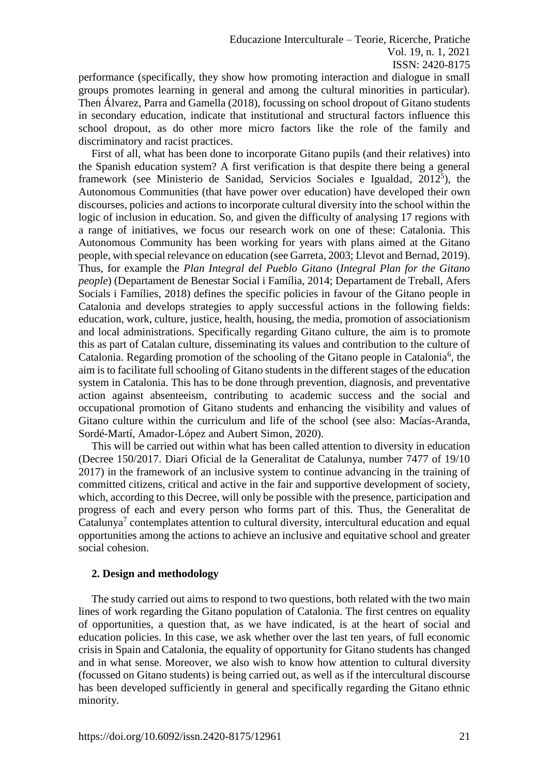performance (specifically, they show how promoting interaction and dialogue in small groups promotes learning in general and among the cultural minorities in particular). Then Álvarez, Parra and Gamella (2018), focussing on school dropout of Gitano students in secondary education, indicate that institutional and structural factors influence this school dropout, as do other more micro factors like the role of the family and discriminatory and racist practices.

First of all, what has been done to incorporate Gitano pupils (and their relatives) into the Spanish education system? A first verification is that despite there being a general framework (see Ministerio de Sanidad, Servicios Sociales e Igualdad, 2012<sup>5</sup> ), the Autonomous Communities (that have power over education) have developed their own discourses, policies and actions to incorporate cultural diversity into the school within the logic of inclusion in education. So, and given the difficulty of analysing 17 regions with a range of initiatives, we focus our research work on one of these: Catalonia. This Autonomous Community has been working for years with plans aimed at the Gitano people, with special relevance on education (see Garreta, 2003; Llevot and Bernad, 2019). Thus, for example the *Plan Integral del Pueblo Gitano* (*Integral Plan for the Gitano people*) (Departament de Benestar Social i Família, 2014; Departament de Treball, Afers Socials i Famílies, 2018) defines the specific policies in favour of the Gitano people in Catalonia and develops strategies to apply successful actions in the following fields: education, work, culture, justice, health, housing, the media, promotion of associationism and local administrations. Specifically regarding Gitano culture, the aim is to promote this as part of Catalan culture, disseminating its values and contribution to the culture of Catalonia. Regarding promotion of the schooling of the Gitano people in Catalonia<sup>6</sup>, the aim is to facilitate full schooling of Gitano students in the different stages of the education system in Catalonia. This has to be done through prevention, diagnosis, and preventative action against absenteeism, contributing to academic success and the social and occupational promotion of Gitano students and enhancing the visibility and values of Gitano culture within the curriculum and life of the school (see also: Macías-Aranda, Sordé-Martí, Amador-López and Aubert Simon, 2020).

This will be carried out within what has been called attention to diversity in education (Decree 150/2017. Diari Oficial de la Generalitat de Catalunya, number 7477 of 19/10 2017) in the framework of an inclusive system to continue advancing in the training of committed citizens, critical and active in the fair and supportive development of society, which, according to this Decree, will only be possible with the presence, participation and progress of each and every person who forms part of this. Thus, the Generalitat de Catalunya<sup>7</sup> contemplates attention to cultural diversity, intercultural education and equal opportunities among the actions to achieve an inclusive and equitative school and greater social cohesion.

# **2. Design and methodology**

The study carried out aims to respond to two questions, both related with the two main lines of work regarding the Gitano population of Catalonia. The first centres on equality of opportunities, a question that, as we have indicated, is at the heart of social and education policies. In this case, we ask whether over the last ten years, of full economic crisis in Spain and Catalonia, the equality of opportunity for Gitano students has changed and in what sense. Moreover, we also wish to know how attention to cultural diversity (focussed on Gitano students) is being carried out, as well as if the intercultural discourse has been developed sufficiently in general and specifically regarding the Gitano ethnic minority.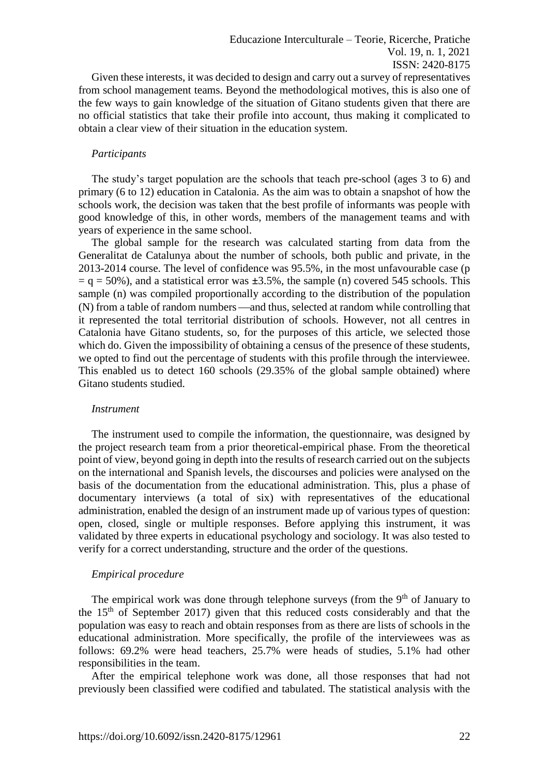Given these interests, it was decided to design and carry out a survey of representatives from school management teams. Beyond the methodological motives, this is also one of the few ways to gain knowledge of the situation of Gitano students given that there are no official statistics that take their profile into account, thus making it complicated to obtain a clear view of their situation in the education system.

#### *Participants*

The study's target population are the schools that teach pre-school (ages 3 to 6) and primary (6 to 12) education in Catalonia. As the aim was to obtain a snapshot of how the schools work, the decision was taken that the best profile of informants was people with good knowledge of this, in other words, members of the management teams and with years of experience in the same school.

The global sample for the research was calculated starting from data from the Generalitat de Catalunya about the number of schools, both public and private, in the 2013-2014 course. The level of confidence was 95.5%, in the most unfavourable case (p  $=$  q  $=$  50%), and a statistical error was  $\pm$ 3.5%, the sample (n) covered 545 schools. This sample (n) was compiled proportionally according to the distribution of the population (N) from a table of random numbers —and thus, selected at random while controlling that it represented the total territorial distribution of schools. However, not all centres in Catalonia have Gitano students, so, for the purposes of this article, we selected those which do. Given the impossibility of obtaining a census of the presence of these students, we opted to find out the percentage of students with this profile through the interviewee. This enabled us to detect 160 schools (29.35% of the global sample obtained) where Gitano students studied.

#### *Instrument*

The instrument used to compile the information, the questionnaire, was designed by the project research team from a prior theoretical-empirical phase. From the theoretical point of view, beyond going in depth into the results of research carried out on the subjects on the international and Spanish levels, the discourses and policies were analysed on the basis of the documentation from the educational administration. This, plus a phase of documentary interviews (a total of six) with representatives of the educational administration, enabled the design of an instrument made up of various types of question: open, closed, single or multiple responses. Before applying this instrument, it was validated by three experts in educational psychology and sociology. It was also tested to verify for a correct understanding, structure and the order of the questions.

#### *Empirical procedure*

The empirical work was done through telephone surveys (from the  $9<sup>th</sup>$  of January to the 15th of September 2017) given that this reduced costs considerably and that the population was easy to reach and obtain responses from as there are lists of schools in the educational administration. More specifically, the profile of the interviewees was as follows: 69.2% were head teachers, 25.7% were heads of studies, 5.1% had other responsibilities in the team.

After the empirical telephone work was done, all those responses that had not previously been classified were codified and tabulated. The statistical analysis with the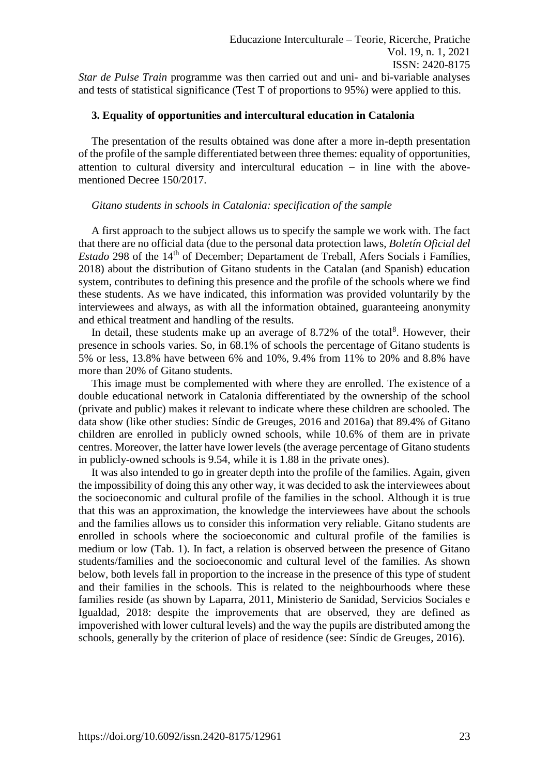*Star de Pulse Train* programme was then carried out and uni- and bi-variable analyses and tests of statistical significance (Test T of proportions to 95%) were applied to this.

#### **3. Equality of opportunities and intercultural education in Catalonia**

The presentation of the results obtained was done after a more in-depth presentation of the profile of the sample differentiated between three themes: equality of opportunities, attention to cultural diversity and intercultural education − in line with the abovementioned Decree 150/2017.

#### *Gitano students in schools in Catalonia: specification of the sample*

A first approach to the subject allows us to specify the sample we work with. The fact that there are no official data (due to the personal data protection laws, *Boletín Oficial del Estado* 298 of the 14<sup>th</sup> of December; Departament de Treball, Afers Socials i Famílies, 2018) about the distribution of Gitano students in the Catalan (and Spanish) education system, contributes to defining this presence and the profile of the schools where we find these students. As we have indicated, this information was provided voluntarily by the interviewees and always, as with all the information obtained, guaranteeing anonymity and ethical treatment and handling of the results.

In detail, these students make up an average of  $8.72\%$  of the total<sup>8</sup>. However, their presence in schools varies. So, in 68.1% of schools the percentage of Gitano students is 5% or less, 13.8% have between 6% and 10%, 9.4% from 11% to 20% and 8.8% have more than 20% of Gitano students.

This image must be complemented with where they are enrolled. The existence of a double educational network in Catalonia differentiated by the ownership of the school (private and public) makes it relevant to indicate where these children are schooled. The data show (like other studies: Síndic de Greuges, 2016 and 2016a) that 89.4% of Gitano children are enrolled in publicly owned schools, while 10.6% of them are in private centres. Moreover, the latter have lower levels (the average percentage of Gitano students in publicly-owned schools is 9.54, while it is 1.88 in the private ones).

It was also intended to go in greater depth into the profile of the families. Again, given the impossibility of doing this any other way, it was decided to ask the interviewees about the socioeconomic and cultural profile of the families in the school. Although it is true that this was an approximation, the knowledge the interviewees have about the schools and the families allows us to consider this information very reliable. Gitano students are enrolled in schools where the socioeconomic and cultural profile of the families is medium or low (Tab. 1). In fact, a relation is observed between the presence of Gitano students/families and the socioeconomic and cultural level of the families. As shown below, both levels fall in proportion to the increase in the presence of this type of student and their families in the schools. This is related to the neighbourhoods where these families reside (as shown by Laparra, 2011, Ministerio de Sanidad, Servicios Sociales e Igualdad, 2018: despite the improvements that are observed, they are defined as impoverished with lower cultural levels) and the way the pupils are distributed among the schools, generally by the criterion of place of residence (see: Síndic de Greuges, 2016).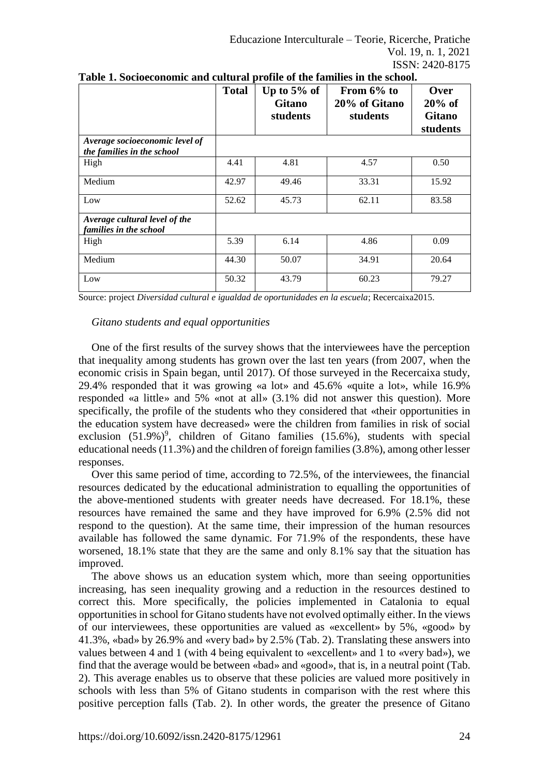|                                                              | <b>Total</b> | Up to $5\%$ of<br><b>Gitano</b><br>students | From $6\%$ to<br>20% of Gitano<br>students | Over<br>$20\%$ of<br><b>Gitano</b><br>students |
|--------------------------------------------------------------|--------------|---------------------------------------------|--------------------------------------------|------------------------------------------------|
| Average socioeconomic level of<br>the families in the school |              |                                             |                                            |                                                |
| High                                                         | 4.41         | 4.81                                        | 4.57                                       | 0.50                                           |
| Medium                                                       | 42.97        | 49.46                                       | 33.31                                      | 15.92                                          |
| Low                                                          | 52.62        | 45.73                                       | 62.11                                      | 83.58                                          |
| Average cultural level of the<br>families in the school      |              |                                             |                                            |                                                |
| High                                                         | 5.39         | 6.14                                        | 4.86                                       | 0.09                                           |
| Medium                                                       | 44.30        | 50.07                                       | 34.91                                      | 20.64                                          |
| Low                                                          | 50.32        | 43.79                                       | 60.23                                      | 79.27                                          |

| Table 1. Socioeconomic and cultural profile of the families in the school. |
|----------------------------------------------------------------------------|
|----------------------------------------------------------------------------|

Source: project *Diversidad cultural e igualdad de oportunidades en la escuela*; Recercaixa2015.

# *Gitano students and equal opportunities*

One of the first results of the survey shows that the interviewees have the perception that inequality among students has grown over the last ten years (from 2007, when the economic crisis in Spain began, until 2017). Of those surveyed in the Recercaixa study, 29.4% responded that it was growing «a lot» and 45.6% «quite a lot», while 16.9% responded «a little» and 5% «not at all» (3.1% did not answer this question). More specifically, the profile of the students who they considered that «their opportunities in the education system have decreased» were the children from families in risk of social exclusion  $(51.9%)$ <sup>9</sup>, children of Gitano families  $(15.6%)$ , students with special educational needs (11.3%) and the children of foreign families (3.8%), among other lesser responses.

Over this same period of time, according to 72.5%, of the interviewees, the financial resources dedicated by the educational administration to equalling the opportunities of the above-mentioned students with greater needs have decreased. For 18.1%, these resources have remained the same and they have improved for 6.9% (2.5% did not respond to the question). At the same time, their impression of the human resources available has followed the same dynamic. For 71.9% of the respondents, these have worsened, 18.1% state that they are the same and only 8.1% say that the situation has improved.

The above shows us an education system which, more than seeing opportunities increasing, has seen inequality growing and a reduction in the resources destined to correct this. More specifically, the policies implemented in Catalonia to equal opportunities in school for Gitano students have not evolved optimally either. In the views of our interviewees, these opportunities are valued as «excellent» by 5%, «good» by 41.3%, «bad» by 26.9% and «very bad» by 2.5% (Tab. 2). Translating these answers into values between 4 and 1 (with 4 being equivalent to «excellent» and 1 to «very bad»), we find that the average would be between «bad» and «good», that is, in a neutral point (Tab. 2). This average enables us to observe that these policies are valued more positively in schools with less than 5% of Gitano students in comparison with the rest where this positive perception falls (Tab. 2). In other words, the greater the presence of Gitano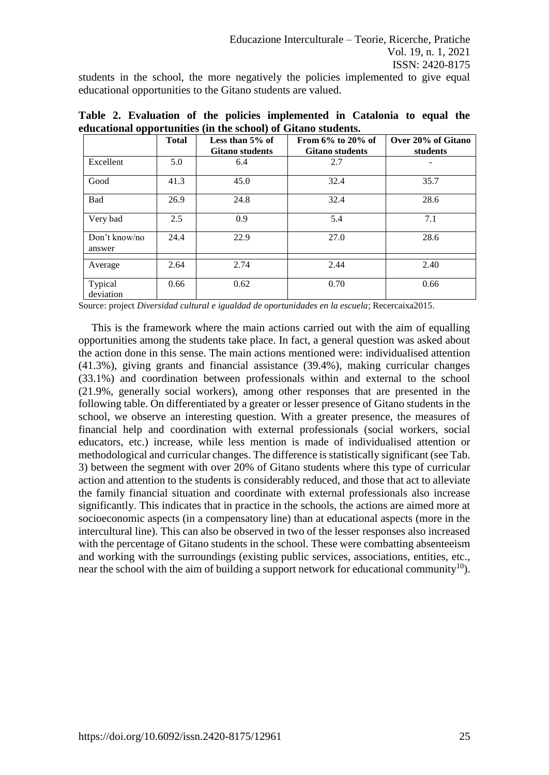students in the school, the more negatively the policies implemented to give equal educational opportunities to the Gitano students are valued.

|                         | <b>Total</b> | Less than $5\%$ of<br><b>Gitano students</b> | From $6\%$ to $20\%$ of<br><b>Gitano students</b> | Over 20% of Gitano<br>students |
|-------------------------|--------------|----------------------------------------------|---------------------------------------------------|--------------------------------|
| Excellent               | 5.0          | 6.4                                          | 2.7                                               |                                |
| Good                    | 41.3         | 45.0                                         | 32.4                                              | 35.7                           |
| Bad                     | 26.9         | 24.8                                         | 32.4                                              | 28.6                           |
| Very bad                | 2.5          | 0.9                                          | 5.4                                               | 7.1                            |
| Don't know/no<br>answer | 24.4         | 22.9                                         | 27.0                                              | 28.6                           |
| Average                 | 2.64         | 2.74                                         | 2.44                                              | 2.40                           |
| Typical<br>deviation    | 0.66         | 0.62                                         | 0.70                                              | 0.66                           |

**Table 2. Evaluation of the policies implemented in Catalonia to equal the educational opportunities (in the school) of Gitano students.**

Source: project *Diversidad cultural e igualdad de oportunidades en la escuela*; Recercaixa2015.

This is the framework where the main actions carried out with the aim of equalling opportunities among the students take place. In fact, a general question was asked about the action done in this sense. The main actions mentioned were: individualised attention (41.3%), giving grants and financial assistance (39.4%), making curricular changes (33.1%) and coordination between professionals within and external to the school (21.9%, generally social workers), among other responses that are presented in the following table. On differentiated by a greater or lesser presence of Gitano students in the school, we observe an interesting question. With a greater presence, the measures of financial help and coordination with external professionals (social workers, social educators, etc.) increase, while less mention is made of individualised attention or methodological and curricular changes. The difference is statistically significant (see Tab. 3) between the segment with over 20% of Gitano students where this type of curricular action and attention to the students is considerably reduced, and those that act to alleviate the family financial situation and coordinate with external professionals also increase significantly. This indicates that in practice in the schools, the actions are aimed more at socioeconomic aspects (in a compensatory line) than at educational aspects (more in the intercultural line). This can also be observed in two of the lesser responses also increased with the percentage of Gitano students in the school. These were combatting absenteeism and working with the surroundings (existing public services, associations, entities, etc., near the school with the aim of building a support network for educational community<sup>10</sup>).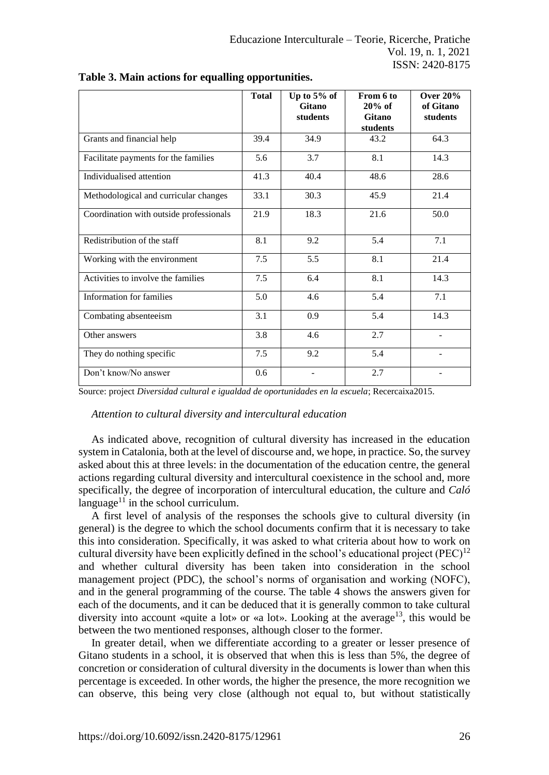|                                         | <b>Total</b> | Up to $5%$ of<br>Gitano<br>students | From 6 to<br>$20%$ of<br><b>Gitano</b><br>students | <b>Over 20%</b><br>of Gitano<br>students |
|-----------------------------------------|--------------|-------------------------------------|----------------------------------------------------|------------------------------------------|
| Grants and financial help               | 39.4         | 34.9                                | 43.2                                               | 64.3                                     |
| Facilitate payments for the families    | 5.6          | 3.7                                 | 8.1                                                | 14.3                                     |
| Individualised attention                | 41.3         | 40.4                                | 48.6                                               | 28.6                                     |
| Methodological and curricular changes   | 33.1         | 30.3                                | 45.9                                               | 21.4                                     |
| Coordination with outside professionals | 21.9         | 18.3                                | 21.6                                               | 50.0                                     |
| Redistribution of the staff             | 8.1          | 9.2                                 | 5.4                                                | 7.1                                      |
| Working with the environment            | 7.5          | 5.5                                 | 8.1                                                | 21.4                                     |
| Activities to involve the families      | 7.5          | 6.4                                 | 8.1                                                | 14.3                                     |
| Information for families                | 5.0          | 4.6                                 | 5.4                                                | 7.1                                      |
| Combating absenteeism                   | 3.1          | 0.9                                 | 5.4                                                | 14.3                                     |
| Other answers                           | 3.8          | 4.6                                 | 2.7                                                |                                          |
| They do nothing specific                | 7.5          | 9.2                                 | 5.4                                                | ÷.                                       |
| Don't know/No answer                    | 0.6          |                                     | 2.7                                                |                                          |

**Table 3. Main actions for equalling opportunities.**

Source: project *Diversidad cultural e igualdad de oportunidades en la escuela*; Recercaixa2015.

# *Attention to cultural diversity and intercultural education*

As indicated above, recognition of cultural diversity has increased in the education system in Catalonia, both at the level of discourse and, we hope, in practice. So, the survey asked about this at three levels: in the documentation of the education centre, the general actions regarding cultural diversity and intercultural coexistence in the school and, more specifically, the degree of incorporation of intercultural education, the culture and *Caló* language $11$  in the school curriculum.

A first level of analysis of the responses the schools give to cultural diversity (in general) is the degree to which the school documents confirm that it is necessary to take this into consideration. Specifically, it was asked to what criteria about how to work on cultural diversity have been explicitly defined in the school's educational project (PEC)<sup>12</sup> and whether cultural diversity has been taken into consideration in the school management project (PDC), the school's norms of organisation and working (NOFC), and in the general programming of the course. The table 4 shows the answers given for each of the documents, and it can be deduced that it is generally common to take cultural diversity into account «quite a lot» or «a lot». Looking at the average<sup>13</sup>, this would be between the two mentioned responses, although closer to the former.

In greater detail, when we differentiate according to a greater or lesser presence of Gitano students in a school, it is observed that when this is less than 5%, the degree of concretion or consideration of cultural diversity in the documents is lower than when this percentage is exceeded. In other words, the higher the presence, the more recognition we can observe, this being very close (although not equal to, but without statistically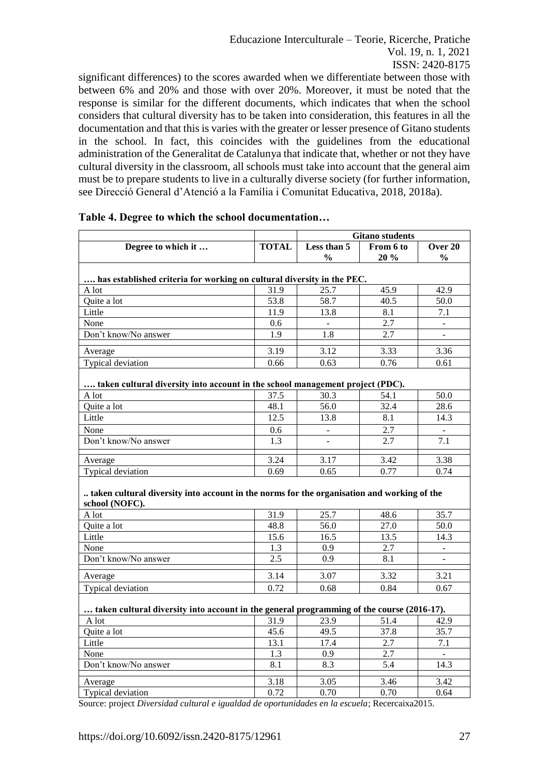Educazione Interculturale – Teorie, Ricerche, Pratiche Vol. 19, n. 1, 2021 ISSN: 2420-8175

significant differences) to the scores awarded when we differentiate between those with between 6% and 20% and those with over 20%. Moreover, it must be noted that the response is similar for the different documents, which indicates that when the school considers that cultural diversity has to be taken into consideration, this features in all the documentation and that this is varies with the greater or lesser presence of Gitano students in the school. In fact, this coincides with the guidelines from the educational administration of the Generalitat de Catalunya that indicate that, whether or not they have cultural diversity in the classroom, all schools must take into account that the general aim must be to prepare students to live in a culturally diverse society (for further information, see Direcció General d'Atenció a la Família i Comunitat Educativa, 2018, 2018a).

|                                                                                                              |              | <b>Gitano</b> students       |                   |                          |  |
|--------------------------------------------------------------------------------------------------------------|--------------|------------------------------|-------------------|--------------------------|--|
| Degree to which it                                                                                           | <b>TOTAL</b> | Less than 5<br>$\frac{0}{0}$ | From 6 to<br>20 % | Over 20<br>$\frac{0}{0}$ |  |
| has established criteria for working on cultural diversity in the PEC.                                       |              |                              |                   |                          |  |
| A lot                                                                                                        | 31.9         | 25.7                         | 45.9              | 42.9                     |  |
| Quite a lot                                                                                                  | 53.8         | 58.7                         | 40.5              | 50.0                     |  |
| Little                                                                                                       | 11.9         | 13.8                         | 8.1               | 7.1                      |  |
| None                                                                                                         | 0.6          |                              | 2.7               |                          |  |
| Don't know/No answer                                                                                         | 1.9          | 1.8                          | 2.7               |                          |  |
| Average                                                                                                      | 3.19         | 3.12                         | 3.33              | 3.36                     |  |
| Typical deviation                                                                                            | 0.66         | 0.63                         | 0.76              | 0.61                     |  |
|                                                                                                              |              |                              |                   |                          |  |
| taken cultural diversity into account in the school management project (PDC).<br>A lot                       | 37.5         | 30.3                         | 54.1              | 50.0                     |  |
| Quite a lot                                                                                                  | 48.1         | 56.0                         | 32.4              | 28.6                     |  |
| Little                                                                                                       | 12.5         | 13.8                         | 8.1               | 14.3                     |  |
|                                                                                                              |              |                              | 2.7               |                          |  |
| None<br>Don't know/No answer                                                                                 | 0.6<br>1.3   | $\sim$                       | 2.7               | $\blacksquare$<br>7.1    |  |
|                                                                                                              |              |                              |                   |                          |  |
| Average                                                                                                      | 3.24         | 3.17                         | 3.42              | 3.38                     |  |
| Typical deviation                                                                                            | 0.69         | 0.65                         | 0.77              | 0.74                     |  |
| taken cultural diversity into account in the norms for the organisation and working of the<br>school (NOFC). |              |                              |                   |                          |  |
| A lot                                                                                                        | 31.9         | 25.7                         | 48.6              | 35.7                     |  |
| Quite a lot                                                                                                  | 48.8         | 56.0                         | 27.0              | 50.0                     |  |
| Little                                                                                                       | 15.6         | 16.5                         | 13.5              | 14.3                     |  |
| None                                                                                                         | 1.3          | 0.9                          | 2.7               | $\equiv$                 |  |
| Don't know/No answer                                                                                         | 2.5          | 0.9                          | 8.1               | $\blacksquare$           |  |
| Average                                                                                                      | 3.14         | 3.07                         | 3.32              | 3.21                     |  |
| Typical deviation                                                                                            | 0.72         | 0.68                         | 0.84              | 0.67                     |  |
| taken cultural diversity into account in the general programming of the course (2016-17).                    |              |                              |                   |                          |  |
| A lot                                                                                                        | 31.9         | 23.9                         | 51.4              | 42.9                     |  |
| Quite a lot                                                                                                  | 45.6         | 49.5                         | 37.8              | 35.7                     |  |
| Little                                                                                                       | 13.1         | 17.4                         | $\overline{2.7}$  | 7.1                      |  |
| None                                                                                                         | 1.3          | 0.9                          | 2.7               |                          |  |
| Don't know/No answer                                                                                         | 8.1          | 8.3                          | 5.4               | 14.3                     |  |
| Average                                                                                                      | 3.18         | 3.05                         | 3.46              | 3.42                     |  |
| Typical deviation                                                                                            | 0.72         | 0.70                         | 0.70              | 0.64                     |  |
| $\cdot$ $\cdot$ $\cdot$                                                                                      | $\mathbf{r}$ |                              |                   | 0.017                    |  |

Source: project *Diversidad cultural e igualdad de oportunidades en la escuela*; Recercaixa2015.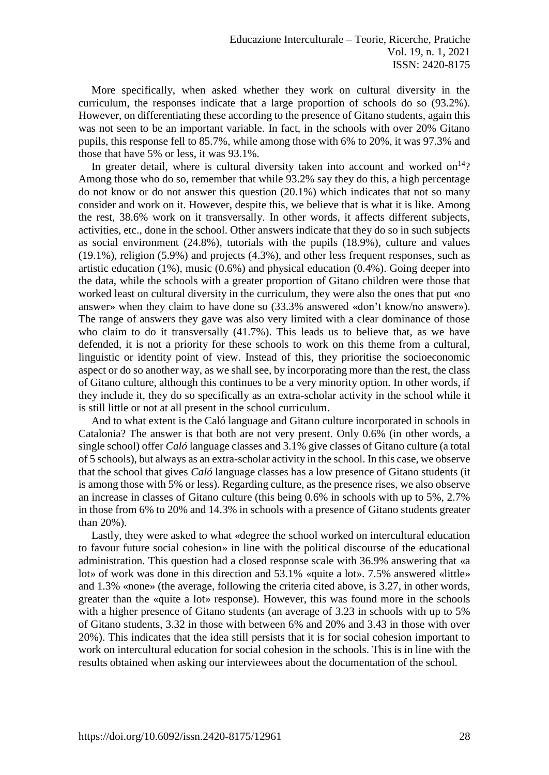More specifically, when asked whether they work on cultural diversity in the curriculum, the responses indicate that a large proportion of schools do so (93.2%). However, on differentiating these according to the presence of Gitano students, again this was not seen to be an important variable. In fact, in the schools with over 20% Gitano pupils, this response fell to 85.7%, while among those with 6% to 20%, it was 97.3% and those that have 5% or less, it was 93.1%.

In greater detail, where is cultural diversity taken into account and worked on $14$ ? Among those who do so, remember that while 93.2% say they do this, a high percentage do not know or do not answer this question (20.1%) which indicates that not so many consider and work on it. However, despite this, we believe that is what it is like. Among the rest, 38.6% work on it transversally. In other words, it affects different subjects, activities, etc., done in the school. Other answers indicate that they do so in such subjects as social environment (24.8%), tutorials with the pupils (18.9%), culture and values (19.1%), religion (5.9%) and projects (4.3%), and other less frequent responses, such as artistic education (1%), music (0.6%) and physical education (0.4%). Going deeper into the data, while the schools with a greater proportion of Gitano children were those that worked least on cultural diversity in the curriculum, they were also the ones that put «no answer» when they claim to have done so (33.3% answered «don't know/no answer»). The range of answers they gave was also very limited with a clear dominance of those who claim to do it transversally (41.7%). This leads us to believe that, as we have defended, it is not a priority for these schools to work on this theme from a cultural, linguistic or identity point of view. Instead of this, they prioritise the socioeconomic aspect or do so another way, as we shall see, by incorporating more than the rest, the class of Gitano culture, although this continues to be a very minority option. In other words, if they include it, they do so specifically as an extra-scholar activity in the school while it is still little or not at all present in the school curriculum.

And to what extent is the Caló language and Gitano culture incorporated in schools in Catalonia? The answer is that both are not very present. Only 0.6% (in other words, a single school) offer *Caló* language classes and 3.1% give classes of Gitano culture (a total of 5 schools), but always as an extra-scholar activity in the school. In this case, we observe that the school that gives *Caló* language classes has a low presence of Gitano students (it is among those with 5% or less). Regarding culture, as the presence rises, we also observe an increase in classes of Gitano culture (this being 0.6% in schools with up to 5%, 2.7% in those from 6% to 20% and 14.3% in schools with a presence of Gitano students greater than 20%).

Lastly, they were asked to what «degree the school worked on intercultural education to favour future social cohesion» in line with the political discourse of the educational administration. This question had a closed response scale with 36.9% answering that «a lot» of work was done in this direction and 53.1% «quite a lot». 7.5% answered «little» and 1.3% «none» (the average, following the criteria cited above, is 3.27, in other words, greater than the «quite a lot» response). However, this was found more in the schools with a higher presence of Gitano students (an average of 3.23 in schools with up to 5% of Gitano students, 3.32 in those with between 6% and 20% and 3.43 in those with over 20%). This indicates that the idea still persists that it is for social cohesion important to work on intercultural education for social cohesion in the schools. This is in line with the results obtained when asking our interviewees about the documentation of the school.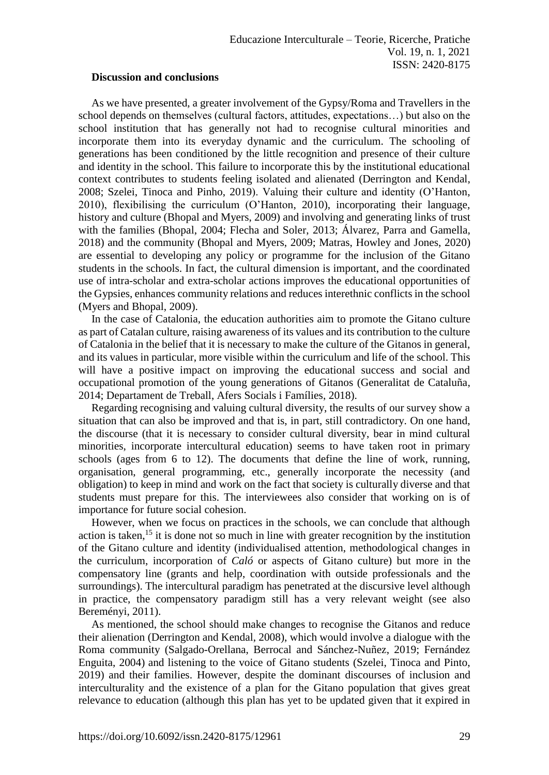#### **Discussion and conclusions**

As we have presented, a greater involvement of the Gypsy/Roma and Travellers in the school depends on themselves (cultural factors, attitudes, expectations…) but also on the school institution that has generally not had to recognise cultural minorities and incorporate them into its everyday dynamic and the curriculum. The schooling of generations has been conditioned by the little recognition and presence of their culture and identity in the school. This failure to incorporate this by the institutional educational context contributes to students feeling isolated and alienated (Derrington and Kendal, 2008; Szelei, Tinoca and Pinho, 2019). Valuing their culture and identity (O'Hanton, 2010), flexibilising the curriculum (O'Hanton, 2010), incorporating their language, history and culture (Bhopal and Myers, 2009) and involving and generating links of trust with the families (Bhopal, 2004; Flecha and Soler, 2013; Álvarez, Parra and Gamella, 2018) and the community (Bhopal and Myers, 2009; Matras, Howley and Jones, 2020) are essential to developing any policy or programme for the inclusion of the Gitano students in the schools. In fact, the cultural dimension is important, and the coordinated use of intra-scholar and extra-scholar actions improves the educational opportunities of the Gypsies, enhances community relations and reduces interethnic conflicts in the school (Myers and Bhopal, 2009).

In the case of Catalonia, the education authorities aim to promote the Gitano culture as part of Catalan culture, raising awareness of its values and its contribution to the culture of Catalonia in the belief that it is necessary to make the culture of the Gitanos in general, and its values in particular, more visible within the curriculum and life of the school. This will have a positive impact on improving the educational success and social and occupational promotion of the young generations of Gitanos (Generalitat de Cataluña, 2014; Departament de Treball, Afers Socials i Famílies, 2018).

Regarding recognising and valuing cultural diversity, the results of our survey show a situation that can also be improved and that is, in part, still contradictory. On one hand, the discourse (that it is necessary to consider cultural diversity, bear in mind cultural minorities, incorporate intercultural education) seems to have taken root in primary schools (ages from 6 to 12). The documents that define the line of work, running, organisation, general programming, etc., generally incorporate the necessity (and obligation) to keep in mind and work on the fact that society is culturally diverse and that students must prepare for this. The interviewees also consider that working on is of importance for future social cohesion.

However, when we focus on practices in the schools, we can conclude that although action is taken,<sup>15</sup> it is done not so much in line with greater recognition by the institution of the Gitano culture and identity (individualised attention, methodological changes in the curriculum, incorporation of *Caló* or aspects of Gitano culture) but more in the compensatory line (grants and help, coordination with outside professionals and the surroundings). The intercultural paradigm has penetrated at the discursive level although in practice, the compensatory paradigm still has a very relevant weight (see also Bereményi, 2011).

As mentioned, the school should make changes to recognise the Gitanos and reduce their alienation (Derrington and Kendal, 2008), which would involve a dialogue with the Roma community (Salgado-Orellana, Berrocal and Sánchez-Nuñez, 2019; Fernández Enguita, 2004) and listening to the voice of Gitano students (Szelei, Tinoca and Pinto, 2019) and their families. However, despite the dominant discourses of inclusion and interculturality and the existence of a plan for the Gitano population that gives great relevance to education (although this plan has yet to be updated given that it expired in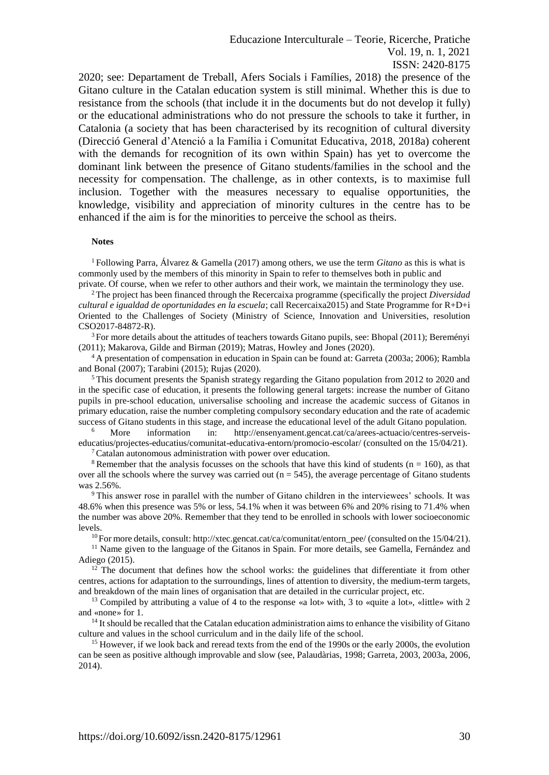2020; see: Departament de Treball, Afers Socials i Famílies, 2018) the presence of the Gitano culture in the Catalan education system is still minimal. Whether this is due to resistance from the schools (that include it in the documents but do not develop it fully) or the educational administrations who do not pressure the schools to take it further, in Catalonia (a society that has been characterised by its recognition of cultural diversity (Direcció General d'Atenció a la Família i Comunitat Educativa, 2018, 2018a) coherent with the demands for recognition of its own within Spain) has yet to overcome the dominant link between the presence of Gitano students/families in the school and the necessity for compensation. The challenge, as in other contexts, is to maximise full inclusion. Together with the measures necessary to equalise opportunities, the knowledge, visibility and appreciation of minority cultures in the centre has to be enhanced if the aim is for the minorities to perceive the school as theirs.

#### **Notes**

<sup>1</sup>Following Parra, Álvarez & Gamella (2017) among others, we use the term *Gitano* as this is what is commonly used by the members of this minority in Spain to refer to themselves both in public and private. Of course, when we refer to other authors and their work, we maintain the terminology they use.

<sup>2</sup>The project has been financed through the Recercaixa programme (specifically the project *Diversidad cultural e igualdad de oportunidades en la escuela*; call Recercaixa2015) and State Programme for R+D+i Oriented to the Challenges of Society (Ministry of Science, Innovation and Universities, resolution CSO2017-84872-R).

<sup>3</sup>For more details about the attitudes of teachers towards Gitano pupils, see: Bhopal (2011); Bereményi (2011); Makarova, Gilde and Birman (2019); Matras, Howley and Jones (2020).

<sup>4</sup> A presentation of compensation in education in Spain can be found at: Garreta (2003a; 2006); Rambla and Bonal (2007); Tarabini (2015); Rujas (2020).

<sup>5</sup>This document presents the Spanish strategy regarding the Gitano population from 2012 to 2020 and in the specific case of education, it presents the following general targets: increase the number of Gitano pupils in pre-school education, universalise schooling and increase the academic success of Gitanos in primary education, raise the number completing compulsory secondary education and the rate of academic success of Gitano students in this stage, and increase the educational level of the adult Gitano population.

<sup>6</sup> More information in: [http://ensenyament.gencat.cat/ca/arees-actuacio/centres-serveis](http://ensenyament.gencat.cat/ca/arees-actuacio/centres-serveis-educatius/projectes-educatius/comunitat-educativa-entorn/promocio-escolar/)[educatius/projectes-educatius/comunitat-educativa-entorn/promocio-escolar/](http://ensenyament.gencat.cat/ca/arees-actuacio/centres-serveis-educatius/projectes-educatius/comunitat-educativa-entorn/promocio-escolar/) (consulted on the 15/04/21).

 $\sigma$ <sup>7</sup>Catalan autonomous administration with power over education.

<sup>8</sup> Remember that the analysis focusses on the schools that have this kind of students ( $n = 160$ ), as that over all the schools where the survey was carried out  $(n = 545)$ , the average percentage of Gitano students was 2.56%.

<sup>9</sup> This answer rose in parallel with the number of Gitano children in the interviewees' schools. It was 48.6% when this presence was 5% or less, 54.1% when it was between 6% and 20% rising to 71.4% when the number was above 20%. Remember that they tend to be enrolled in schools with lower socioeconomic levels.

<sup>10</sup>For more details, consult[: http://xtec.gencat.cat/ca/comunitat/entorn\\_pee/](http://xtec.gencat.cat/ca/comunitat/entorn_pee/) (consulted on the 15/04/21).

<sup>11</sup> Name given to the language of the Gitanos in Spain. For more details, see Gamella, Fernández and Adiego (2015).

 $12$  The document that defines how the school works: the guidelines that differentiate it from other centres, actions for adaptation to the surroundings, lines of attention to diversity, the medium-term targets, and breakdown of the main lines of organisation that are detailed in the curricular project, etc.

<sup>13</sup> Compiled by attributing a value of 4 to the response «a lot» with, 3 to «quite a lot», «little» with 2 and «none» for 1.

<sup>14</sup> It should be recalled that the Catalan education administration aims to enhance the visibility of Gitano culture and values in the school curriculum and in the daily life of the school.

<sup>15</sup> However, if we look back and reread texts from the end of the 1990s or the early 2000s, the evolution can be seen as positive although improvable and slow (see, Palaudàrias, 1998; Garreta, 2003, 2003a, 2006, 2014).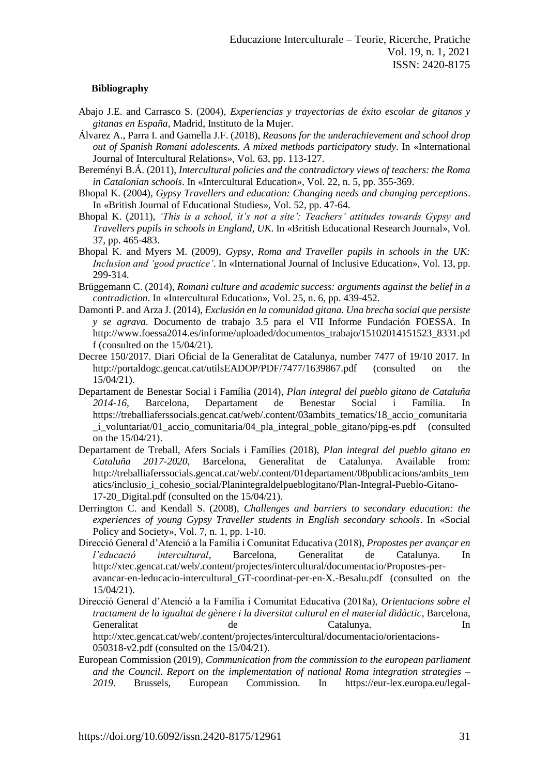#### **Bibliography**

- Abajo J.E. and Carrasco S. (2004), *Experiencias y trayectorias de éxito escolar de gitanos y gitanas en España*, Madrid, Instituto de la Mujer.
- Álvarez A., Parra I. and Gamella J.F. (2018), *Reasons for the underachievement and school drop out of Spanish Romani adolescents. A mixed methods participatory study*. In «International Journal of Intercultural Relations», Vol. 63, pp. 113-127.
- Bereményi B.Á. (2011), *Intercultural policies and the contradictory views of teachers: the Roma in Catalonian schools*. In «Intercultural Education», Vol. 22, n. 5, pp. 355-369.
- Bhopal K. (2004), *Gypsy Travellers and education: Changing needs and changing perceptions*. In «British Journal of Educational Studies», Vol. 52, pp. 47-64.
- Bhopal K. (2011), *'This is a school, it's not a site': Teachers' attitudes towards Gypsy and Travellers pupils in schools in England, UK*. In «British Educational Research Journal», Vol. 37, pp. 465-483.
- Bhopal K. and Myers M. (2009), *Gypsy, Roma and Traveller pupils in schools in the UK: Inclusion and 'good practice'*. In «International Journal of Inclusive Education», Vol. 13, pp. 299-314.
- Brüggemann C. (2014), *Romani culture and academic success: arguments against the belief in a contradiction*. In «Intercultural Education», Vol. 25, n. 6, pp. 439-452.
- Damonti P. and Arza J. (2014), *Exclusión en la comunidad gitana. Una brecha social que persiste y se agrava*. Documento de trabajo 3.5 para el VII Informe Fundación FOESSA*.* In [http://www.foessa2014.es/informe/uploaded/documentos\\_trabajo/15102014151523\\_8331.pd](http://www.foessa2014.es/informe/uploaded/documentos_trabajo/15102014151523_8331.pdf) [f](http://www.foessa2014.es/informe/uploaded/documentos_trabajo/15102014151523_8331.pdf) (consulted on the 15/04/21).
- Decree 150/2017. Diari Oficial de la Generalitat de Catalunya, number 7477 of 19/10 2017. In <http://portaldogc.gencat.cat/utilsEADOP/PDF/7477/1639867.pdf> (consulted on the 15/04/21).
- Departament de Benestar Social i Família (2014), *Plan integral del pueblo gitano de Cataluña 2014-16*, Barcelona, Departament de Benestar Social i Família. In https://treballiaferssocials.gencat.cat/web/.content/03ambits\_tematics/18\_accio\_comunitaria \_i\_voluntariat/01\_accio\_comunitaria/04\_pla\_integral\_poble\_gitano/pipg-es.pdf (consulted on the 15/04/21).
- Departament de Treball, Afers Socials i Famílies (2018), *Plan integral del pueblo gitano en Cataluña 2017-2020*, Barcelona, Generalitat de Catalunya. Available from: [http://treballiaferssocials.gencat.cat/web/.content/01departament/08publicacions/ambits\\_tem](http://treballiaferssocials.gencat.cat/web/.content/01departament/08publicacions/ambits_tematics/inclusio_i_cohesio_social/Planintegraldelpueblogitano/Plan-Integral-Pueblo-Gitano-17-20_Digital.pdf) [atics/inclusio\\_i\\_cohesio\\_social/Planintegraldelpueblogitano/Plan-Integral-Pueblo-Gitano-](http://treballiaferssocials.gencat.cat/web/.content/01departament/08publicacions/ambits_tematics/inclusio_i_cohesio_social/Planintegraldelpueblogitano/Plan-Integral-Pueblo-Gitano-17-20_Digital.pdf)[17-20\\_Digital.pdf](http://treballiaferssocials.gencat.cat/web/.content/01departament/08publicacions/ambits_tematics/inclusio_i_cohesio_social/Planintegraldelpueblogitano/Plan-Integral-Pueblo-Gitano-17-20_Digital.pdf) (consulted on the 15/04/21).
- Derrington C. and Kendall S. (2008), *Challenges and barriers to secondary education: the experiences of young Gypsy Traveller students in English secondary schools*. In «Social Policy and Society», Vol. 7, n. 1, pp. 1-10.
- Direcció General d'Atenció a la Família i Comunitat Educativa (2018), *Propostes per avançar en l'educació intercultural*, Barcelona, Generalitat de Catalunya. In [http://xtec.gencat.cat/web/.content/projectes/intercultural/documentacio/Propostes-per](http://xtec.gencat.cat/web/.content/projectes/intercultural/documentacio/Propostes-per-avancar-en-leducacio-intercultural_GT-coordinat-per-en-X.-Besalu.pdf)[avancar-en-leducacio-intercultural\\_GT-coordinat-per-en-X.-Besalu.pdf](http://xtec.gencat.cat/web/.content/projectes/intercultural/documentacio/Propostes-per-avancar-en-leducacio-intercultural_GT-coordinat-per-en-X.-Besalu.pdf) (consulted on the 15/04/21).
- Direcció General d'Atenció a la Família i Comunitat Educativa (2018a), *Orientacions sobre el tractament de la igualtat de gènere i la diversitat cultural en el material didàctic*, Barcelona, Generalitat de Catalunya. In [http://xtec.gencat.cat/web/.content/projectes/intercultural/documentacio/orientacions-](http://xtec.gencat.cat/web/.content/projectes/intercultural/documentacio/orientacions-050318-v2.pdf)[050318-v2.pdf](http://xtec.gencat.cat/web/.content/projectes/intercultural/documentacio/orientacions-050318-v2.pdf) (consulted on the 15/04/21).
- European Commission (2019), *Communication from the commission to the european parliament and the Council. Report on the implementation of national Roma integration strategies – 2019*. Brussels, European Commission. In [https://eur-lex.europa.eu/legal-](https://eur-lex.europa.eu/legal-content/ES/TXT/?qid=1569439783533&uri=CELEX:52019DC0406)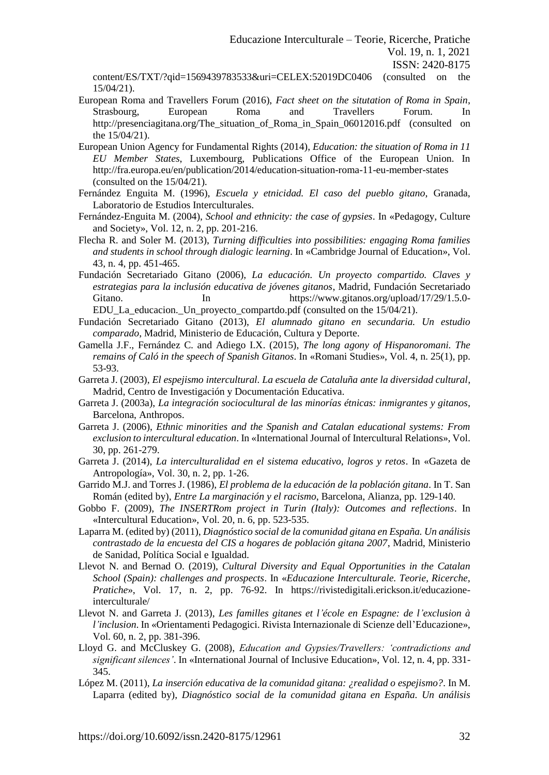[content/ES/TXT/?qid=1569439783533&uri=CELEX:52019DC0406](https://eur-lex.europa.eu/legal-content/ES/TXT/?qid=1569439783533&uri=CELEX:52019DC0406) (consulted on the 15/04/21).

- European Roma and Travellers Forum (2016), *Fact sheet on the situtation of Roma in Spain*, Strasbourg, European Roma and Travellers Forum. In [http://presenciagitana.org/The\\_situation\\_of\\_Roma\\_in\\_Spain\\_06012016.pdf](http://presenciagitana.org/The_situation_of_Roma_in_Spain_06012016.pdf) (consulted on the 15/04/21).
- European Union Agency for Fundamental Rights (2014), *Education: the situation of Roma in 11 EU Member States*, Luxembourg, Publications Office of the European Union. In <http://fra.europa.eu/en/publication/2014/education-situation-roma-11-eu-member-states> (consulted on the 15/04/21).
- Fernández Enguita M. (1996), *Escuela y etnicidad. El caso del pueblo gitano*, Granada, Laboratorio de Estudios Interculturales.
- Fernández-Enguita M. (2004), *School and ethnicity: the case of gypsies*. In «Pedagogy, Culture and Society», Vol. 12, n. 2, pp. 201-216.
- Flecha R. and Soler M. (2013), *Turning difficulties into possibilities: engaging Roma families and students in school through dialogic learning*. In «Cambridge Journal of Education», Vol. 43, n. 4, pp. 451-465.
- Fundación Secretariado Gitano (2006), *La educación. Un proyecto compartido. Claves y estrategias para la inclusión educativa de jóvenes gitanos*, Madrid, Fundación Secretariado Gitano. In [https://www.gitanos.org/upload/17/29/1.5.0-](https://www.gitanos.org/upload/17/29/1.5.0-EDU_La_educacion._Un_proyecto_compartdo.pdf) EDU La educacion. Un proyecto compartdo.pdf (consulted on the 15/04/21).
- Fundación Secretariado Gitano (2013), *El alumnado gitano en secundaria. Un estudio comparado*, Madrid, Ministerio de Educación, Cultura y Deporte.
- Gamella J.F., Fernández C. and Adiego I.X. (2015), *The long agony of Hispanoromani. The remains of Caló in the speech of Spanish Gitanos*. In «Romani Studies», Vol. 4, n. 25(1), pp. 53-93.
- Garreta J. (2003), *El espejismo intercultural. La escuela de Cataluña ante la diversidad cultural*, Madrid, Centro de Investigación y Documentación Educativa.
- Garreta J. (2003a), *La integración sociocultural de las minorías étnicas: inmigrantes y gitanos*, Barcelona, Anthropos.
- Garreta J. (2006), *Ethnic minorities and the Spanish and Catalan educational systems: From exclusion to intercultural education*. In «International Journal of Intercultural Relations», Vol. 30, pp. 261-279.
- Garreta J. (2014), *La interculturalidad en el sistema educativo, logros y retos*. In «Gazeta de Antropología», Vol. 30, n. 2, pp. 1-26.
- Garrido M.J. and Torres J. (1986), *El problema de la educación de la población gitana*. In T. San Román (edited by), *Entre La marginación y el racismo*, Barcelona, Alianza, pp. 129-140.
- Gobbo F. (2009), *The INSERTRom project in Turin (Italy): Outcomes and reflections*. In «Intercultural Education», Vol. 20, n. 6, pp. 523-535.
- Laparra M. (edited by) (2011), *Diagnóstico social de la comunidad gitana en España. Un análisis contrastado de la encuesta del CIS a hogares de población gitana 2007*, Madrid, Ministerio de Sanidad, Política Social e Igualdad.
- Llevot N. and Bernad O. (2019), *Cultural Diversity and Equal Opportunities in the Catalan School (Spain): challenges and prospects*. In «*Educazione Interculturale. Teorie, Ricerche, Pratiche*», Vol. 17, n. 2, pp. 76-92. In [https://rivistedigitali.erickson.it/educazione](https://rivistedigitali.erickson.it/educazione-interculturale/)[interculturale/](https://rivistedigitali.erickson.it/educazione-interculturale/)
- Llevot N. and Garreta J. (2013), *Les familles gitanes et l'école en Espagne: de l'exclusion à l'inclusion*. In «Orientamenti Pedagogici. Rivista Internazionale di Scienze dell'Educazione», Vol. 60, n. 2, pp. 381-396.
- Lloyd G. and McCluskey G. (2008), *Education and Gypsies/Travellers: 'contradictions and significant silences'*. In «International Journal of Inclusive Education», Vol. 12, n. 4, pp. 331- 345.
- López M. (2011), *La inserción educativa de la comunidad gitana: ¿realidad o espejismo?*. In M. Laparra (edited by), *Diagnóstico social de la comunidad gitana en España. Un análisis*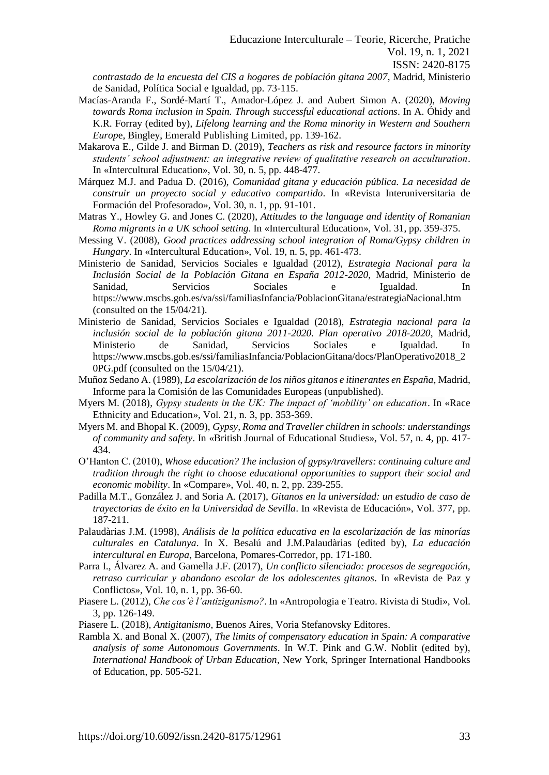*contrastado de la encuesta del CIS a hogares de población gitana 2007*, Madrid, Ministerio de Sanidad, Política Social e Igualdad, pp. 73-115.

- Macías-Aranda F., Sordé-Martí T., Amador-López J. and Aubert Simon A. (2020), *Moving towards Roma inclusion in Spain. Through successful educational actions*. In A. Óhidy and K.R. Forray (edited by), *Lifelong learning and the Roma minority in Western and Southern Europ*e, Bingley, Emerald Publishing Limited, pp. 139-162.
- Makarova E., Gilde J. and Birman D. (2019), *Teachers as risk and resource factors in minority students' school adjustment: an integrative review of qualitative research on acculturation*. In «Intercultural Education», Vol. 30, n. 5, pp. 448-477.
- Márquez M.J. and Padua D. (2016), *Comunidad gitana y educación pública. La necesidad de construir un proyecto social y educativo compartido*. In «Revista Interuniversitaria de Formación del Profesorado», Vol. 30, n. 1, pp. 91-101.
- Matras Y., Howley G. and Jones C. (2020), *Attitudes to the language and identity of Romanian Roma migrants in a UK school setting*. In «Intercultural Education», Vol. 31, pp. 359-375.
- Messing V. (2008), *Good practices addressing school integration of Roma/Gypsy children in Hungary*. In «Intercultural Education», Vol. 19, n. 5, pp. 461-473.
- Ministerio de Sanidad, Servicios Sociales e Igualdad (2012), *Estrategia Nacional para la Inclusión Social de la Población Gitana en España 2012-2020*, Madrid, Ministerio de Sanidad, Servicios Sociales e Igualdad. In <https://www.mscbs.gob.es/va/ssi/familiasInfancia/PoblacionGitana/estrategiaNacional.htm> (consulted on the 15/04/21).
- Ministerio de Sanidad, Servicios Sociales e Igualdad (2018), *Estrategia nacional para la inclusión social de la población gitana 2011-2020. Plan operativo 2018-2020*, Madrid, Ministerio de Sanidad, Servicios Sociales e Igualdad. In [https://www.mscbs.gob.es/ssi/familiasInfancia/PoblacionGitana/docs/PlanOperativo2018\\_2](https://www.mscbs.gob.es/ssi/familiasInfancia/PoblacionGitana/docs/PlanOperativo2018_20PG.pdf) [0PG.pdf](https://www.mscbs.gob.es/ssi/familiasInfancia/PoblacionGitana/docs/PlanOperativo2018_20PG.pdf) (consulted on the 15/04/21).
- Muñoz Sedano A. (1989), *La escolarización de los niños gitanos e itinerantes en España*, Madrid, Informe para la Comisión de las Comunidades Europeas (unpublished).
- Myers M. (2018), *Gypsy students in the UK: The impact of 'mobility' on education*. In «Race Ethnicity and Education», Vol. 21, n. 3, pp. 353-369.
- Myers M. and Bhopal K. (2009), *Gypsy, Roma and Traveller children in schools: understandings of community and safety*. In «British Journal of Educational Studies», Vol. 57, n. 4, pp. 417- 434.
- O'Hanton C. (2010), *Whose education? The inclusion of gypsy/travellers: continuing culture and tradition through the right to choose educational opportunities to support their social and economic mobility*. In «Compare», Vol. 40, n. 2, pp. 239-255.
- Padilla M.T., González J. and Soria A. (2017), *Gitanos en la universidad: un estudio de caso de trayectorias de éxito en la Universidad de Sevilla*. In «Revista de Educación», Vol. 377, pp. 187-211.
- Palaudàrias J.M. (1998), *Análisis de la política educativa en la escolarización de las minorías culturales en Catalunya*. In X. Besalú and J.M.Palaudàrias (edited by), *La educación intercultural en Europa*, Barcelona, Pomares-Corredor, pp. 171-180.
- Parra I., Álvarez A. and Gamella J.F. (2017), *Un conflicto silenciado: procesos de segregación, retraso curricular y abandono escolar de los adolescentes gitanos*. In «Revista de Paz y Conflictos», Vol. 10, n. 1, pp. 36-60.
- Piasere L. (2012), *Che cos'è l'antiziganismo?*. In «Antropologia e Teatro. Rivista di Studi», Vol. 3, pp. 126-149.
- Piasere L. (2018), *Antigitanismo*, Buenos Aires, Voria Stefanovsky Editores.
- Rambla X. and Bonal X. (2007), *The limits of compensatory education in Spain: A comparative analysis of some Autonomous Governments*. In W.T. Pink and G.W. Noblit (edited by), *International Handbook of Urban Education*, New York, Springer International Handbooks of Education, pp. 505-521.